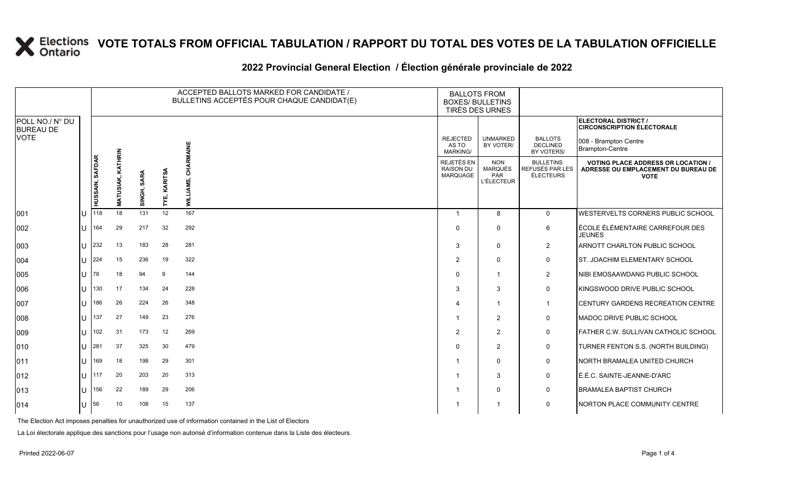### **VOTE TOTALS FROM OFFICIAL TABULATION / RAPPORT DU TOTAL DES VOTES DE LA TABULATION OFFICIELLE**

#### 2022 Provincial General Election / Election générale provinciale de 2022

|                                     |                |                     |                          |                       |                 | ACCEPTED BALLOTS MARKED FOR CANDIDATE /<br>BULLETINS ACCEPTÉS POUR CHAQUE CANDIDAT(E) | <b>BALLOTS FROM</b><br><b>BOXES/ BULLETINS</b><br><b>TIRÉS DES URNES</b> |                                                          |                                                  |                                                                                                 |
|-------------------------------------|----------------|---------------------|--------------------------|-----------------------|-----------------|---------------------------------------------------------------------------------------|--------------------------------------------------------------------------|----------------------------------------------------------|--------------------------------------------------|-------------------------------------------------------------------------------------------------|
| POLL NO./ N° DU<br><b>BUREAU DE</b> |                |                     |                          |                       |                 |                                                                                       |                                                                          |                                                          |                                                  | ELECTORAL DISTRICT /<br><b>CIRCONSCRIPTION ÉLECTORALE</b>                                       |
| VOTE                                |                |                     |                          |                       |                 | RMAINE                                                                                | <b>REJECTED</b><br>AS TO<br><b>MARKING/</b>                              | <b>UNMARKED</b><br>BY VOTER/                             | <b>BALLOTS</b><br><b>DECLINED</b><br>BY VOTERS/  | 008 - Brampton Centre<br>Brampton-Centre                                                        |
|                                     |                | HUSSAIN, SAFDAR     | KATHRIN<br>USIAK,<br>MAT | <b>SARA</b><br>SINGH, | KARITSA<br>ΤYΕ, | 줄<br>ທ່<br><b>WILLIAM</b>                                                             | <b>REJETÉS EN</b><br><b>RAISON DU</b><br><b>MARQUAGE</b>                 | <b>NON</b><br><b>MARQUÉS</b><br>PAR<br><b>L'ÉLECTEUR</b> | <b>BULLETINS</b><br>REFUSÉS PAR LES<br>ÉLECTEURS | <b>VOTING PLACE ADDRESS OR LOCATION /</b><br>ADRESSE OU EMPLACEMENT DU BUREAU DE<br><b>VOTE</b> |
| 001                                 |                | 1118                | 18                       | 131                   | 12              | 167                                                                                   | $\overline{1}$                                                           | 8                                                        | $\mathbf 0$                                      | <b>WESTERVELTS CORNERS PUBLIC SCHOOL</b>                                                        |
| 002                                 | U              | 164                 | 29                       | 217                   | 32              | 292                                                                                   | $\Omega$                                                                 | $\Omega$                                                 | 6                                                | ÉCOLE ÉLÉMENTAIRE CARREFOUR DES<br><b>JEUNES</b>                                                |
| 003                                 |                | 232                 | 13                       | 183                   | 28              | 281                                                                                   | 3                                                                        | $\mathbf{0}$                                             | $\overline{2}$                                   | ARNOTT CHARLTON PUBLIC SCHOOL                                                                   |
| 004                                 |                | $11 \overline{224}$ | 15                       | 236                   | 19              | 322                                                                                   | 2                                                                        | $\Omega$                                                 | 0                                                | ST. JOACHIM ELEMENTARY SCHOOL                                                                   |
| 005                                 | $\lfloor$   78 |                     | 18                       | 94                    | 9               | 144                                                                                   | $\Omega$                                                                 |                                                          | 2                                                | <b>INIBI EMOSAAWDANG PUBLIC SCHOOL</b>                                                          |
| 006                                 | U              | 130                 | 17                       | 134                   | 24              | 228                                                                                   | 3                                                                        | 3                                                        | $\mathbf 0$                                      | KINGSWOOD DRIVE PUBLIC SCHOOL                                                                   |
| 007                                 |                | 186                 | 26                       | 224                   | 26              | 348                                                                                   | $\overline{4}$                                                           |                                                          | $\mathbf{1}$                                     | <b>CENTURY GARDENS RECREATION CENTRE</b>                                                        |
| 008                                 | U              | 137                 | 27                       | 149                   | 23              | 276                                                                                   | $\overline{1}$                                                           | 2                                                        | $\mathbf 0$                                      | MADOC DRIVE PUBLIC SCHOOL                                                                       |
| 009                                 |                | 102                 | 31                       | 173                   | 12              | 269                                                                                   | $\overline{2}$                                                           | $\overline{2}$                                           | $\mathbf 0$                                      | FATHER C.W. SULLIVAN CATHOLIC SCHOOL                                                            |
| 010                                 |                | 281                 | 37                       | 325                   | 30              | 479                                                                                   | $\Omega$                                                                 | 2                                                        | 0                                                | TURNER FENTON S.S. (NORTH BUILDING)                                                             |
| 011                                 | U              | 169                 | 18                       | 198                   | 29              | 301                                                                                   | $\overline{1}$                                                           | $\Omega$                                                 | 0                                                | NORTH BRAMALEA UNITED CHURCH                                                                    |
| 012                                 |                | $11$ 117            | 20                       | 203                   | 20              | 313                                                                                   | $\overline{1}$                                                           | 3                                                        | $\mathbf 0$                                      | É.É.C. SAINTE-JEANNE-D'ARC                                                                      |
| 013                                 |                | 156                 | 22                       | 189                   | 29              | 206                                                                                   | $\mathbf{1}$                                                             | $\mathbf{0}$                                             | 0                                                | <b>BRAMALEA BAPTIST CHURCH</b>                                                                  |
| 014                                 |                | 56                  | 10                       | 108                   | 15              | 137                                                                                   | -1                                                                       |                                                          | $\mathbf 0$                                      | NORTON PLACE COMMUNITY CENTRE                                                                   |

The Election Act imposes penalties for unauthorized use of information contained in the List of Electors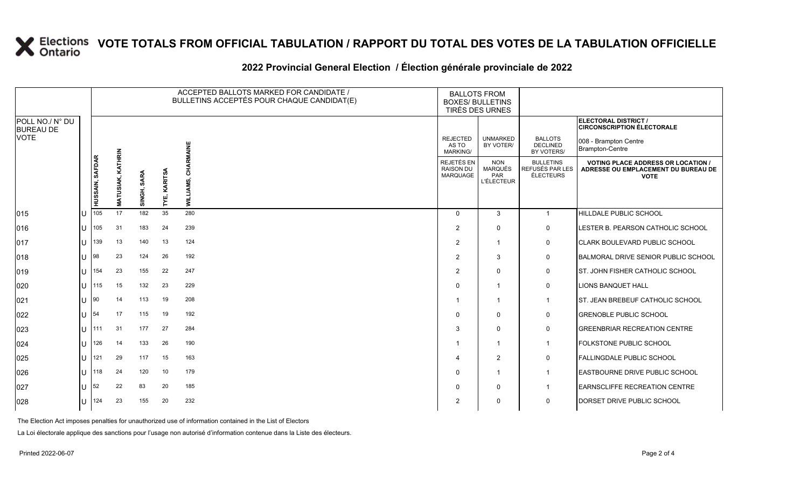# **X** Elections VOTE TOTALS FROM OFFICIAL TABULATION / RAPPORT DU TOTAL DES VOTES DE LA TABULATION OFFICIELLE

### **2022 Provincial General Election / Élection générale provinciale de 2022**

|                                     |     | ACCEPTED BALLOTS MARKED FOR CANDIDATE /<br>BULLETINS ACCEPTÉS POUR CHAQUE CANDIDAT(E) |                          |             |                |                   |  | <b>BALLOTS FROM</b><br><b>BOXES/ BULLETINS</b><br>TIRÉS DES URNES |                                                          |                                                  |                                                                                                 |
|-------------------------------------|-----|---------------------------------------------------------------------------------------|--------------------------|-------------|----------------|-------------------|--|-------------------------------------------------------------------|----------------------------------------------------------|--------------------------------------------------|-------------------------------------------------------------------------------------------------|
| POLL NO./ N° DU<br><b>BUREAU DE</b> |     |                                                                                       |                          |             |                |                   |  |                                                                   |                                                          |                                                  | ELECTORAL DISTRICT /<br><b>CIRCONSCRIPTION ÉLECTORALE</b>                                       |
| <b>VOTE</b>                         |     |                                                                                       |                          |             |                |                   |  | <b>REJECTED</b><br>AS TO<br>MARKING/                              | <b>UNMARKED</b><br>BY VOTER/                             | <b>BALLOTS</b><br><b>DECLINED</b><br>BY VOTERS/  | 008 - Brampton Centre<br>Brampton-Centre                                                        |
|                                     |     | HUSSAIN, SAFDAR                                                                       | <b>MATUSIAK, KATHRIN</b> | SINGH, SARA | KARITSA<br>٢Ě, | ਨ<br><b>MILLI</b> |  | REJETÉS EN<br>RAISON DU<br><b>MARQUAGE</b>                        | <b>NON</b><br><b>MARQUÉS</b><br>PAR<br><b>L'ÉLECTEUR</b> | <b>BULLETINS</b><br>REFUSÉS PAR LES<br>ÉLECTEURS | <b>VOTING PLACE ADDRESS OR LOCATION /</b><br>ADRESSE OU EMPLACEMENT DU BUREAU DE<br><b>VOTE</b> |
| 015                                 | ΙU  | 105                                                                                   | 17                       | 182         | 35             | 280               |  | $\Omega$                                                          | 3                                                        | $\overline{1}$                                   | HILLDALE PUBLIC SCHOOL                                                                          |
| 016                                 | IU  | 105                                                                                   | 31                       | 183         | 24             | 239               |  | $\overline{2}$                                                    | $\Omega$                                                 | $\mathbf 0$                                      | LESTER B. PEARSON CATHOLIC SCHOOL                                                               |
| 017                                 | Ш   | 139                                                                                   | 13                       | 140         | 13             | 124               |  | $\overline{2}$                                                    | $\overline{\mathbf{1}}$                                  | 0                                                | CLARK BOULEVARD PUBLIC SCHOOL                                                                   |
| 018                                 | IU  | 98                                                                                    | 23                       | 124         | 26             | 192               |  | $\mathcal{P}$                                                     | 3                                                        | $\mathbf 0$                                      | BALMORAL DRIVE SENIOR PUBLIC SCHOOL                                                             |
| 019                                 | IU. | 154                                                                                   | 23                       | 155         | 22             | 247               |  | 2                                                                 | $\Omega$                                                 | 0                                                | ST. JOHN FISHER CATHOLIC SCHOOL                                                                 |
| 020                                 | Ш   | 115                                                                                   | 15                       | 132         | 23             | 229               |  | $\Omega$                                                          | $\overline{\mathbf{1}}$                                  | $\mathbf 0$                                      | <b>LIONS BANQUET HALL</b>                                                                       |
| 021                                 | IU  | 90                                                                                    | 14                       | 113         | 19             | 208               |  |                                                                   | $\overline{1}$                                           | -1                                               | <b>ST. JEAN BREBEUF CATHOLIC SCHOOL</b>                                                         |
| 022                                 | Ш   | 54                                                                                    | 17                       | 115         | 19             | 192               |  | $\Omega$                                                          | $\mathbf 0$                                              | $\mathbf 0$                                      | <b>GRENOBLE PUBLIC SCHOOL</b>                                                                   |
| 023                                 | ΙU  | 111                                                                                   | 31                       | 177         | 27             | 284               |  | 3                                                                 | $\mathbf 0$                                              | $\mathbf 0$                                      | <b>GREENBRIAR RECREATION CENTRE</b>                                                             |
| 024                                 | IU  | 126                                                                                   | 14                       | 133         | 26             | 190               |  |                                                                   | $\overline{\mathbf{1}}$                                  | $\overline{1}$                                   | <b>FOLKSTONE PUBLIC SCHOOL</b>                                                                  |
| 025                                 | Ш   | 121                                                                                   | 29                       | 117         | 15             | 163               |  |                                                                   | $\overline{2}$                                           | $\mathbf 0$                                      | <b>FALLINGDALE PUBLIC SCHOOL</b>                                                                |
| 026                                 | IU. | 118                                                                                   | 24                       | 120         | 10             | 179               |  | $\Omega$                                                          | $\overline{\mathbf{1}}$                                  | -1                                               | <b>EASTBOURNE DRIVE PUBLIC SCHOOL</b>                                                           |
| 027                                 | IU  | 52                                                                                    | 22                       | 83          | 20             | 185               |  | $\Omega$                                                          | $\Omega$                                                 | -1                                               | <b>LEARNSCLIFFE RECREATION CENTRE</b>                                                           |
| 028                                 | IU. | 124                                                                                   | 23                       | 155         | 20             | 232               |  | 2                                                                 | $\Omega$                                                 | $\mathbf 0$                                      | DORSET DRIVE PUBLIC SCHOOL                                                                      |

The Election Act imposes penalties for unauthorized use of information contained in the List of Electors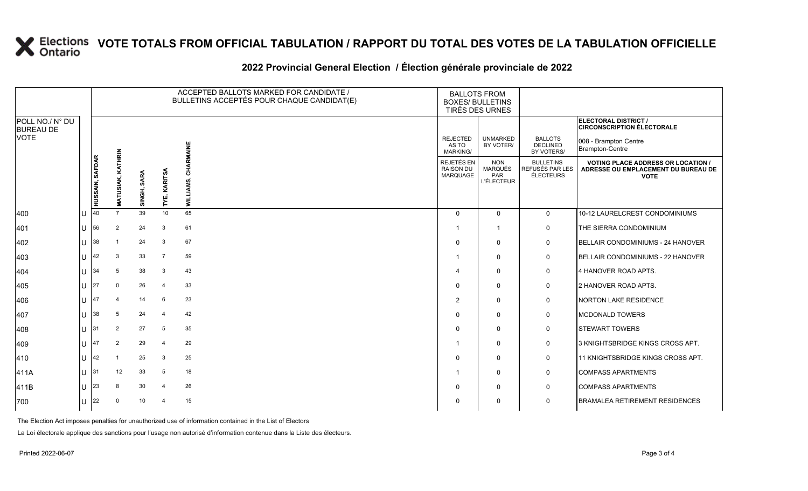# **X** Elections VOTE TOTALS FROM OFFICIAL TABULATION / RAPPORT DU TOTAL DES VOTES DE LA TABULATION OFFICIELLE

### **2022 Provincial General Election / Élection générale provinciale de 2022**

|                                     |                      |                          |             |                 | ACCEPTED BALLOTS MARKED FOR CANDIDATE /<br>BULLETINS ACCEPTÉS POUR CHAQUE CANDIDAT(E) | <b>BALLOTS FROM</b><br><b>BOXES/ BULLETINS</b><br>TIRÉS DES URNES |                                                          |                                                  |                                                                                                 |
|-------------------------------------|----------------------|--------------------------|-------------|-----------------|---------------------------------------------------------------------------------------|-------------------------------------------------------------------|----------------------------------------------------------|--------------------------------------------------|-------------------------------------------------------------------------------------------------|
| POLL NO./ N° DU<br><b>BUREAU DE</b> |                      |                          |             |                 |                                                                                       |                                                                   |                                                          |                                                  | ELECTORAL DISTRICT /<br><b>CIRCONSCRIPTION ÉLECTORALE</b>                                       |
| <b>VOTE</b>                         |                      |                          |             |                 | 뿔                                                                                     | <b>REJECTED</b><br>AS TO<br><b>MARKING/</b>                       | <b>UNMARKED</b><br>BY VOTER/                             | <b>BALLOTS</b><br><b>DECLINED</b><br>BY VOTERS/  | 008 - Brampton Centre<br>Brampton-Centre                                                        |
|                                     | HUSSAIN, SAFDAR      | <b>MATUSIAK, KATHRIN</b> | SINGH, SARA | KARITSA<br>TYË, | Ī                                                                                     | REJETÉS EN<br><b>RAISON DU</b><br>MARQUAGE                        | <b>NON</b><br><b>MARQUÉS</b><br>PAR<br><b>L'ÉLECTEUR</b> | <b>BULLETINS</b><br>REFUSÉS PAR LES<br>ÉLECTEURS | <b>VOTING PLACE ADDRESS OR LOCATION /</b><br>ADRESSE OU EMPLACEMENT DU BUREAU DE<br><b>VOTE</b> |
| 400                                 | 40                   | $\overline{7}$           | 39          | 10              | 65                                                                                    | $\Omega$                                                          | $\Omega$                                                 | $\overline{0}$                                   | 10-12 LAURELCREST CONDOMINIUMS                                                                  |
| 401                                 | $U$ 56               | $\overline{2}$           | 24          | 3               | 61                                                                                    | 1                                                                 | -1                                                       | 0                                                | THE SIERRA CONDOMINIUM                                                                          |
| 402                                 | $11 \, 38$           |                          | 24          | 3               | 67                                                                                    | $\Omega$                                                          | $\Omega$                                                 | 0                                                | BELLAIR CONDOMINIUMS - 24 HANOVER                                                               |
| 403                                 | <b>42</b>            | 3                        | 33          | $\overline{7}$  | 59                                                                                    |                                                                   | $\mathbf 0$                                              | 0                                                | BELLAIR CONDOMINIUMS - 22 HANOVER                                                               |
| 404                                 | $U$ 34               | 5                        | 38          | 3               | 43                                                                                    | 4                                                                 | $\Omega$                                                 | 0                                                | 4 HANOVER ROAD APTS.                                                                            |
| 405                                 | $11 \, 27$           | $\Omega$                 | 26          | $\overline{4}$  | 33                                                                                    | 0                                                                 | 0                                                        | 0                                                | 2 HANOVER ROAD APTS.                                                                            |
| 406                                 | 147                  | $\overline{4}$           | 14          | 6               | 23                                                                                    | $\overline{2}$                                                    | $\mathbf{0}$                                             | $\mathbf 0$                                      | <b>NORTON LAKE RESIDENCE</b>                                                                    |
| 407                                 | $\lfloor \rfloor$ 38 | 5                        | 24          | $\overline{4}$  | 42                                                                                    | 0                                                                 | $\Omega$                                                 | 0                                                | <b>MCDONALD TOWERS</b>                                                                          |
| 408                                 | $11$ 31              | 2                        | 27          | -5              | 35                                                                                    | $\Omega$                                                          | $\Omega$                                                 | $\mathbf 0$                                      | <b>STEWART TOWERS</b>                                                                           |
| 409                                 | 147                  | 2                        | 29          | $\overline{4}$  | 29                                                                                    |                                                                   | $\Omega$                                                 | 0                                                | 3 KNIGHTSBRIDGE KINGS CROSS APT.                                                                |
| 410                                 | $11 \, 142$          |                          | 25          | 3               | 25                                                                                    | $\Omega$                                                          | $\Omega$                                                 | $\mathbf 0$                                      | 11 KNIGHTSBRIDGE KINGS CROSS APT.                                                               |
| 411A                                | $U$ 31               | 12                       | 33          | 5               | 18                                                                                    | -1                                                                | 0                                                        | 0                                                | <b>COMPASS APARTMENTS</b>                                                                       |
| 411B                                | 23                   | 8                        | 30          | $\overline{4}$  | 26                                                                                    | $\Omega$                                                          | $\Omega$                                                 | $\mathbf 0$                                      | <b>COMPASS APARTMENTS</b>                                                                       |
| 700                                 | $ 1 $ 22             | $\Omega$                 | 10          | 4               | 15                                                                                    | 0                                                                 | $\Omega$                                                 | 0                                                | <b>BRAMALEA RETIREMENT RESIDENCES</b>                                                           |

The Election Act imposes penalties for unauthorized use of information contained in the List of Electors